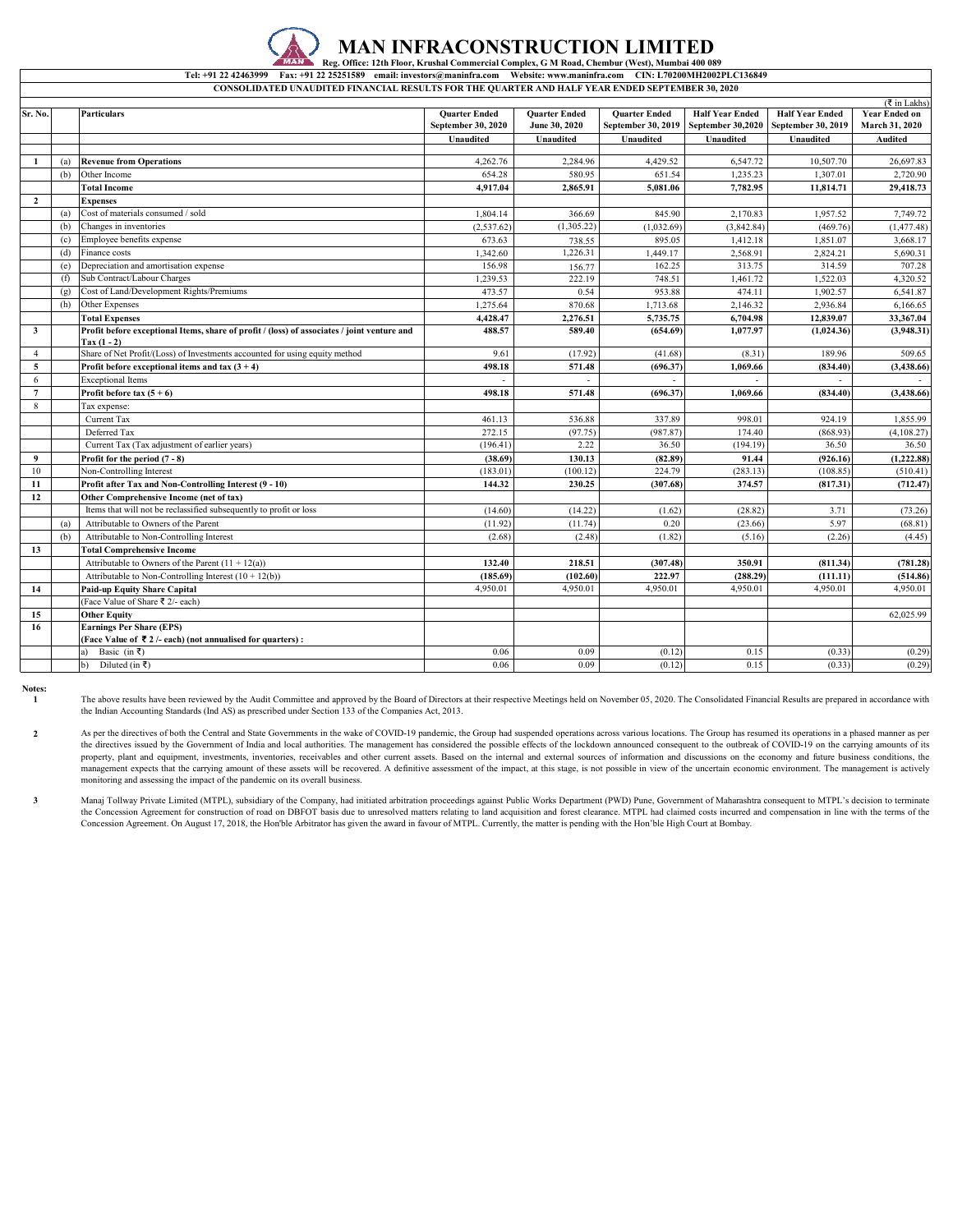## **IICTION LIMITED Reg. Office: 12th Floor, Krushal Commercial Complex, G M Road, Chembur (West), Mumbai 400 089**

**CONSOLIDATED UNAUDITED FINANCIAL RESULTS FOR THE QUARTER AND HALF YEAR ENDED SEPTEMBER 30, 2020 Tel: +91 22 42463999 Fax: +91 22 25251589 email: investors@maninfra.com Website: www.maninfra.com CIN: L70200MH2002PLC136849**

|                 |     |                                                                                                              |                      |                      |                      |                        |                        | $(\overline{\mathfrak{k}}$ in Lakhs) |
|-----------------|-----|--------------------------------------------------------------------------------------------------------------|----------------------|----------------------|----------------------|------------------------|------------------------|--------------------------------------|
| Sr. No.         |     | <b>Particulars</b>                                                                                           | <b>Quarter Ended</b> | <b>Quarter Ended</b> | <b>Ouarter Ended</b> | <b>Half Year Ended</b> | <b>Half Year Ended</b> | <b>Year Ended on</b>                 |
|                 |     |                                                                                                              | September 30, 2020   | June 30, 2020        | September 30, 2019   | September 30,2020      | September 30, 2019     | March 31, 2020                       |
|                 |     |                                                                                                              | Unaudited            | Unaudited            | Unaudited            | Unaudited              | Unaudited              | Audited                              |
|                 |     |                                                                                                              |                      |                      |                      |                        |                        |                                      |
| 1               | (a) | <b>Revenue from Operations</b>                                                                               | 4.262.76             | 2.284.96             | 4,429.52             | 6,547.72               | 10,507.70              | 26,697.83                            |
|                 | (b) | Other Income                                                                                                 | 654.28               | 580.95               | 651.54               | 1,235.23               | 1,307.01               | 2,720.90                             |
|                 |     | <b>Total Income</b>                                                                                          | 4,917.04             | 2,865.91             | 5,081.06             | 7,782.95               | 11,814.71              | 29,418.73                            |
| $\overline{2}$  |     | <b>Expenses</b>                                                                                              |                      |                      |                      |                        |                        |                                      |
|                 | (a) | Cost of materials consumed / sold                                                                            | 1,804.14             | 366.69               | 845.90               | 2.170.83               | 1,957.52               | 7,749.72                             |
|                 | (b) | Changes in inventories                                                                                       | (2,537.62)           | (1,305.22)           | (1,032.69)           | (3,842.84)             | (469.76)               | (1, 477.48)                          |
|                 | (c) | Employee benefits expense                                                                                    | 673.63               | 738.55               | 895.05               | 1.412.18               | 1.851.07               | 3,668.17                             |
|                 | (d) | Finance costs                                                                                                | 1,342.60             | 1,226.31             | 1,449.17             | 2,568.91               | 2,824.21               | 5,690.31                             |
|                 | (e) | Depreciation and amortisation expense                                                                        | 156.98               | 156.77               | 162.25               | 313.75                 | 314.59                 | 707.28                               |
|                 | (f) | Sub Contract/Labour Charges                                                                                  | 1,239.53             | 222.19               | 748.51               | 1,461.72               | 1,522.03               | 4,320.52                             |
|                 | (g) | Cost of Land/Development Rights/Premiums                                                                     | 473.57               | 0.54                 | 953.88               | 474.11                 | 1,902.57               | 6,541.87                             |
|                 | (h) | Other Expenses                                                                                               | 1,275.64             | 870.68               | 1,713.68             | 2,146.32               | 2,936.84               | 6,166.65                             |
|                 |     | <b>Total Expenses</b>                                                                                        | 4,428.47             | 2,276.51             | 5,735.75             | 6,704.98               | 12,839.07              | 33,367.04                            |
| $\mathbf{3}$    |     | Profit before exceptional Items, share of profit / (loss) of associates / joint venture and<br>$Tax (1 - 2)$ | 488.57               | 589.40               | (654.69)             | 1.077.97               | (1,024.36)             | (3,948.31)                           |
| $\overline{4}$  |     | Share of Net Profit/(Loss) of Investments accounted for using equity method                                  | 9.61                 | (17.92)              | (41.68)              | (8.31)                 | 189.96                 | 509.65                               |
| 5               |     | Profit before exceptional items and tax $(3 + 4)$                                                            | 498.18               | 571.48               | (696.37)             | 1.069.66               | (834.40)               | (3,438.66)                           |
| 6               |     | <b>Exceptional Items</b>                                                                                     |                      |                      |                      |                        |                        |                                      |
| $7\phantom{.0}$ |     | Profit before tax $(5 + 6)$                                                                                  | 498.18               | 571.48               | (696.37)             | 1.069.66               | (834.40)               | (3,438.66)                           |
| 8               |     | Tax expense:                                                                                                 |                      |                      |                      |                        |                        |                                      |
|                 |     | Current Tax                                                                                                  | 461.13               | 536.88               | 337.89               | 998.01                 | 924.19                 | 1,855.99                             |
|                 |     | Deferred Tax                                                                                                 | 272.15               | (97.75)              | (987.87)             | 174.40                 | (868.93)               | (4, 108.27)                          |
|                 |     | Current Tax (Tax adjustment of earlier years)                                                                | (196.41)             | 2.22                 | 36.50                | (194.19)               | 36.50                  | 36.50                                |
| 9               |     | Profit for the period $(7 - 8)$                                                                              | (38.69)              | 130.13               | (82.89)              | 91.44                  | (926.16)               | (1,222.88)                           |
| 10              |     | Non-Controlling Interest                                                                                     | (183.01)             | (100.12)             | 224.79               | (283.13)               | (108.85)               | (510.41)                             |
| 11              |     | Profit after Tax and Non-Controlling Interest (9 - 10)                                                       | 144.32               | 230.25               | (307.68)             | 374.57                 | (817.31)               | (712.47)                             |
| 12              |     | Other Comprehensive Income (net of tax)                                                                      |                      |                      |                      |                        |                        |                                      |
|                 |     | Items that will not be reclassified subsequently to profit or loss                                           | (14.60)              | (14.22)              | (1.62)               | (28.82)                | 3.71                   | (73.26)                              |
|                 | (a) | Attributable to Owners of the Parent                                                                         | (11.92)              | (11.74)              | 0.20                 | (23.66)                | 5.97                   | (68.81)                              |
|                 | (b) | Attributable to Non-Controlling Interest                                                                     | (2.68)               | (2.48)               | (1.82)               | (5.16)                 | (2.26)                 | (4.45)                               |
| 13              |     | <b>Total Comprehensive Income</b>                                                                            |                      |                      |                      |                        |                        |                                      |
|                 |     | Attributable to Owners of the Parent $(11 + 12(a))$                                                          | 132.40               | 218.51               | (307.48)             | 350.91                 | (811.34)               | (781.28)                             |
|                 |     | Attributable to Non-Controlling Interest $(10 + 12(b))$                                                      | (185.69)             | (102.60)             | 222.97               | (288.29)               | (111.11)               | (514.86)                             |
| 14              |     | <b>Paid-up Equity Share Capital</b>                                                                          | 4,950.01             | 4,950.01             | 4,950.01             | 4,950.01               | 4,950.01               | 4,950.01                             |
|                 |     | (Face Value of Share ₹ 2/- each)                                                                             |                      |                      |                      |                        |                        |                                      |
| 15              |     | <b>Other Equity</b>                                                                                          |                      |                      |                      |                        |                        | 62,025.99                            |
| 16              |     | <b>Earnings Per Share (EPS)</b>                                                                              |                      |                      |                      |                        |                        |                                      |
|                 |     | (Face Value of ₹2/- each) (not annualised for quarters) :                                                    |                      |                      |                      |                        |                        |                                      |
|                 |     | Basic (in ₹)<br>a)                                                                                           | 0.06                 | 0.09                 | (0.12)               | 0.15                   | (0.33)                 | (0.29)                               |
|                 |     | Diluted (in ₹)<br>$\mathbf{b}$                                                                               | 0.06                 | 0.09                 | (0.12)               | 0.15                   | (0.33)                 | (0.29)                               |

## **Notes: 1**

The above results have been reviewed by the Audit Committee and approved by the Board of Directors at their respective Meetings held on November 05, 2020. The Consolidated Financial Results are prepared in accordance with the Indian Accounting Standards (Ind AS) as prescribed under Section 133 of the Companies Act, 2013.

**2** As per the directives of both the Central and State Governments in the wake of COVID-19 pandemic, the Group had suspended operations across various locations. The Group has resumed its operations in a phased manner as per the directives issued by the Government of India and local authorities. The management has considered the possible effects of the lockdown announced consequent to the outbreak of COVID-19 on the carrying amounts of its property, plant and equipment, investments, inventories, receivables and other current assets. Based on the internal and external sources of information and discussions on the economy and future business conditions, the management expects that the carrying amount of these assets will be recovered. A definitive assessment of the impact, at this stage, is not possible in view of the uncertain economic environment. The management is actively monitoring and assessing the impact of the pandemic on its overall business.

**3** Manaj Tollway Private Limited (MTPL), subsidiary of the Company, had initiated arbitration proceedings against Public Works Department (PWD) Pune, Government of Maharashtra consequent to MTPL's decision to terminate the Concession Agreement for construction of road on DBFOT basis due to unresolved matters relating to land acquisition and forest clearance. MTPL had claimed costs incurred and compensation in line with the terms of the Concession Agreement. On August 17, 2018, the Hon'ble Arbitrator has given the award in favour of MTPL. Currently, the matter is pending with the Hon'ble High Court at Bombay.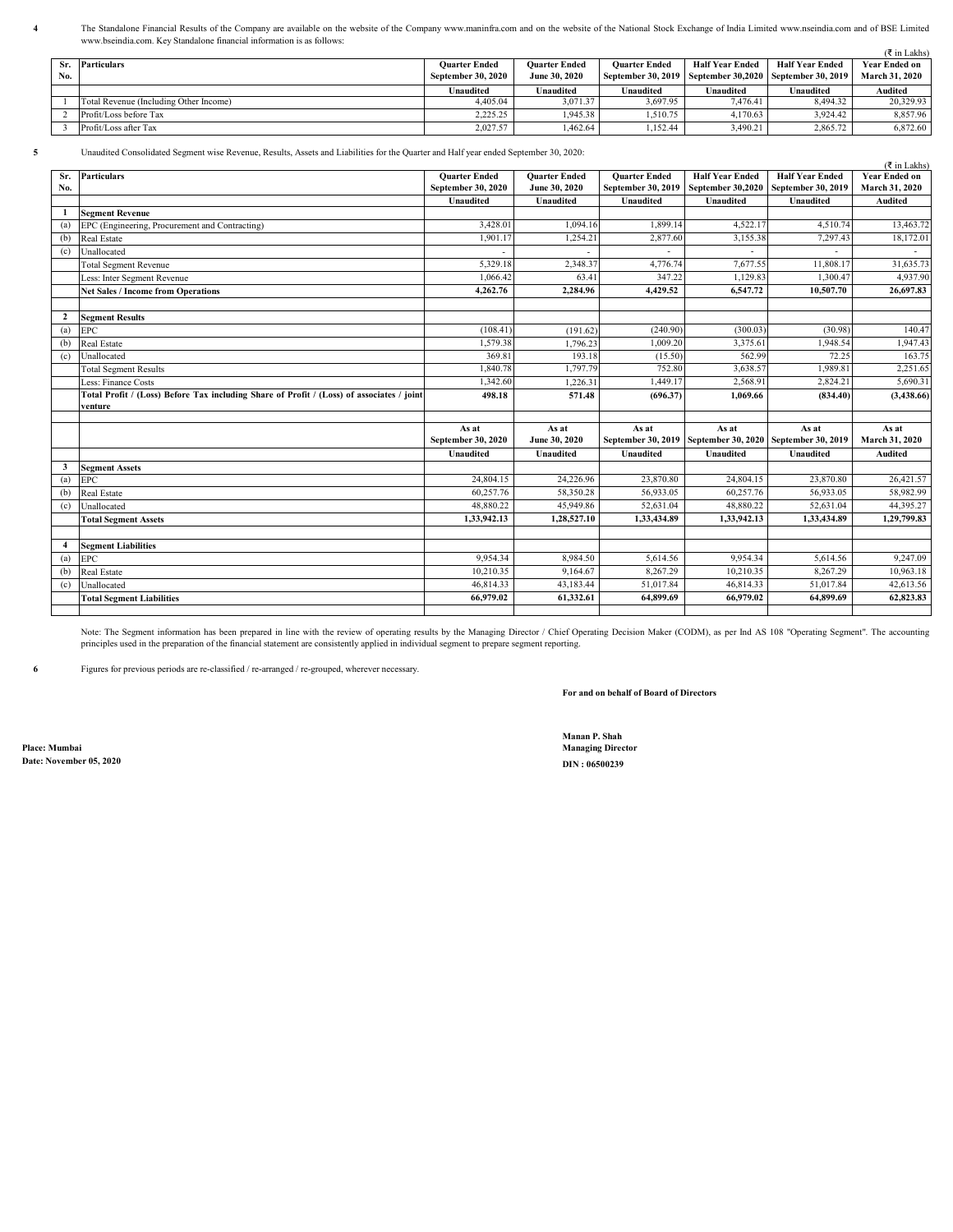The Standalone Financial Results of the Company are available on the website of the Company www.maninfra.com and on the website of the National Stock Exchange of India Limited www.nseindia.com and of BSE Limited www.bseindia.com. Key Standalone financial information is as follows:

|     |                                        |                      |                      |                      |                        |                                                              | ( ₹ in Lakhs)         |
|-----|----------------------------------------|----------------------|----------------------|----------------------|------------------------|--------------------------------------------------------------|-----------------------|
|     | Sr. Particulars                        | <b>Ouarter Ended</b> | <b>Ouarter Ended</b> | <b>Ouarter Ended</b> | <b>Half Year Ended</b> | <b>Half Year Ended</b>                                       | <b>Year Ended on</b>  |
| No. |                                        | September 30, 2020   | June 30, 2020        |                      |                        | September 30, 2019   September 30, 2020   September 30, 2019 | <b>March 31, 2020</b> |
|     |                                        | Unaudited            | Unaudited            | Unaudited            | Unaudited              | Unaudited                                                    | Audited               |
|     | Total Revenue (Including Other Income) | 4,405.04             | 3.071.37             | 3.697.95             | 7.476.41               | 8,494.32                                                     | 20.329.93             |
|     | Profit/Loss before Tax                 | 2.225.25             | 1.945.38             | 1.510.75             | 4.170.63               | 3.924.42                                                     | 8,857.96              |
|     | Profit/Loss after Tax                  | 2,027.57             | 1,462.64             | 1.152.44             | 3.490.21               | 2,865.72                                                     | 6,872.60              |

**5** Unaudited Consolidated Segment wise Revenue, Results, Assets and Liabilities for the Quarter and Half year ended September 30, 2020:

|                | Unaudited Consonuated Segment wise Revenue, Results, Assets and Liabinities for the Quarter and Hair year ended September 90, 2020. |                      |                      |                      |                                                              |                        | ( ₹ in Lakhs)        |
|----------------|-------------------------------------------------------------------------------------------------------------------------------------|----------------------|----------------------|----------------------|--------------------------------------------------------------|------------------------|----------------------|
| Sr.            | <b>Particulars</b>                                                                                                                  | <b>Quarter Ended</b> | <b>Quarter Ended</b> | <b>Quarter Ended</b> | <b>Half Year Ended</b>                                       | <b>Half Year Ended</b> | <b>Year Ended on</b> |
| No.            |                                                                                                                                     | September 30, 2020   | June 30, 2020        | September 30, 2019   | <b>September 30,2020</b>                                     | September 30, 2019     | March 31, 2020       |
|                |                                                                                                                                     | <b>Unaudited</b>     | Unaudited            | <b>Unaudited</b>     | Unaudited                                                    | Unaudited              | <b>Audited</b>       |
| -1             | <b>Segment Revenue</b>                                                                                                              |                      |                      |                      |                                                              |                        |                      |
| (a)            | EPC (Engineering, Procurement and Contracting)                                                                                      | 3,428.01             | 1.094.16             | 1.899.14             | 4,522.17                                                     | 4,510.74               | 13,463.72            |
| (b)            | Real Estate                                                                                                                         | 1.901.17             | 1,254.21             | 2,877.60             | 3,155.38                                                     | 7,297.43               | 18,172.01            |
| (c)            | Unallocated                                                                                                                         |                      |                      |                      |                                                              |                        |                      |
|                | <b>Total Segment Revenue</b>                                                                                                        | 5,329.18             | 2,348.37             | 4,776.74             | 7,677.55                                                     | 11,808.17              | 31,635.73            |
|                | Less: Inter Segment Revenue                                                                                                         | 1.066.42             | 63.41                | 347.22               | 1,129.83                                                     | 1,300.47               | 4,937.90             |
|                | <b>Net Sales / Income from Operations</b>                                                                                           | 4,262.76             | 2,284.96             | 4,429.52             | 6,547.72                                                     | 10,507.70              | 26,697.83            |
|                |                                                                                                                                     |                      |                      |                      |                                                              |                        |                      |
| $\overline{2}$ | <b>Segment Results</b>                                                                                                              |                      |                      |                      |                                                              |                        |                      |
| (a)            | <b>EPC</b>                                                                                                                          | (108.41)             | (191.62)             | (240.90)             | (300.03)                                                     | (30.98)                | 140.47               |
| (b)            | Real Estate                                                                                                                         | 1.579.38             | 1,796.23             | 1.009.20             | 3,375.61                                                     | 1.948.54               | 1,947.43             |
| (c)            | Unallocated                                                                                                                         | 369.81               | 193.18               | (15.50)              | 562.99                                                       | 72.25                  | 163.75               |
|                | <b>Total Segment Results</b>                                                                                                        | 1,840.78             | 1,797.79             | 752.80               | 3,638.57                                                     | 1,989.81               | 2,251.65             |
|                | Less: Finance Costs                                                                                                                 | 1.342.60             | 1,226.31             | 1,449.17             | 2,568.91                                                     | 2,824.21               | 5,690.31             |
|                | Total Profit / (Loss) Before Tax including Share of Profit / (Loss) of associates / joint                                           | 498.18               | 571.48               | (696.37)             | 1,069.66                                                     | (834.40)               | (3,438.66)           |
|                | venture                                                                                                                             |                      |                      |                      |                                                              |                        |                      |
|                |                                                                                                                                     | As at                | As at                | As at                | As at                                                        | As at                  | As at                |
|                |                                                                                                                                     | September 30, 2020   | June 30, 2020        |                      | September 30, 2019   September 30, 2020   September 30, 2019 |                        | March 31, 2020       |
|                |                                                                                                                                     | <b>Unaudited</b>     | Unaudited            | <b>Unaudited</b>     | <b>Unaudited</b>                                             | <b>Unaudited</b>       | Audited              |
| 3              | <b>Segment Assets</b>                                                                                                               |                      |                      |                      |                                                              |                        |                      |
| (a)            | <b>EPC</b>                                                                                                                          | 24,804.15            | 24,226.96            | 23,870.80            | 24,804.15                                                    | 23,870.80              | 26,421.57            |
| (b)            | Real Estate                                                                                                                         | 60,257.76            | 58,350.28            | 56.933.05            | 60,257.76                                                    | 56,933.05              | 58,982.99            |
| (c)            | Unallocated                                                                                                                         | 48,880.22            | 45,949.86            | 52,631.04            | 48,880.22                                                    | 52,631.04              | 44,395.27            |
|                | <b>Total Segment Assets</b>                                                                                                         | 1,33,942.13          | 1,28,527.10          | 1,33,434.89          | 1,33,942.13                                                  | 1,33,434.89            | 1,29,799.83          |
|                |                                                                                                                                     |                      |                      |                      |                                                              |                        |                      |
| $\overline{4}$ | <b>Segment Liabilities</b>                                                                                                          |                      |                      |                      |                                                              |                        |                      |
| (a)            | <b>EPC</b>                                                                                                                          | 9,954.34             | 8,984.50             | 5,614.56             | 9,954.34                                                     | 5,614.56               | 9,247.09             |
| (b)            | Real Estate                                                                                                                         | 10,210.35            | 9,164.67             | 8,267.29             | 10,210.35                                                    | 8,267.29               | 10,963.18            |
| (c)            | Unallocated                                                                                                                         | 46,814.33            | 43,183.44            | 51,017.84            | 46,814.33                                                    | 51,017.84              | 42,613.56            |
|                |                                                                                                                                     |                      |                      |                      |                                                              |                        |                      |
|                | <b>Total Segment Liabilities</b>                                                                                                    | 66.979.02            | 61,332.61            | 64,899.69            | 66.979.02                                                    | 64,899.69              | 62,823.83            |

Note: The Segment information has been prepared in line with the review of operating results by the Managing Director / Chief Operating Decision Maker (CODM), as per Ind AS 108 "Operating Segment". The accounting principles used in the preparation of the financial statement are consistently applied in individual segment to prepare segment reporting.

**6** Figures for previous periods are re-classified / re-arranged / re-grouped, wherever necessary.

**For and on behalf of Board of Directors**

**Date: November 05, 2020 DIN : 06500239**

**4**

**Manan P. Shah Place: Mumbai Managing Director**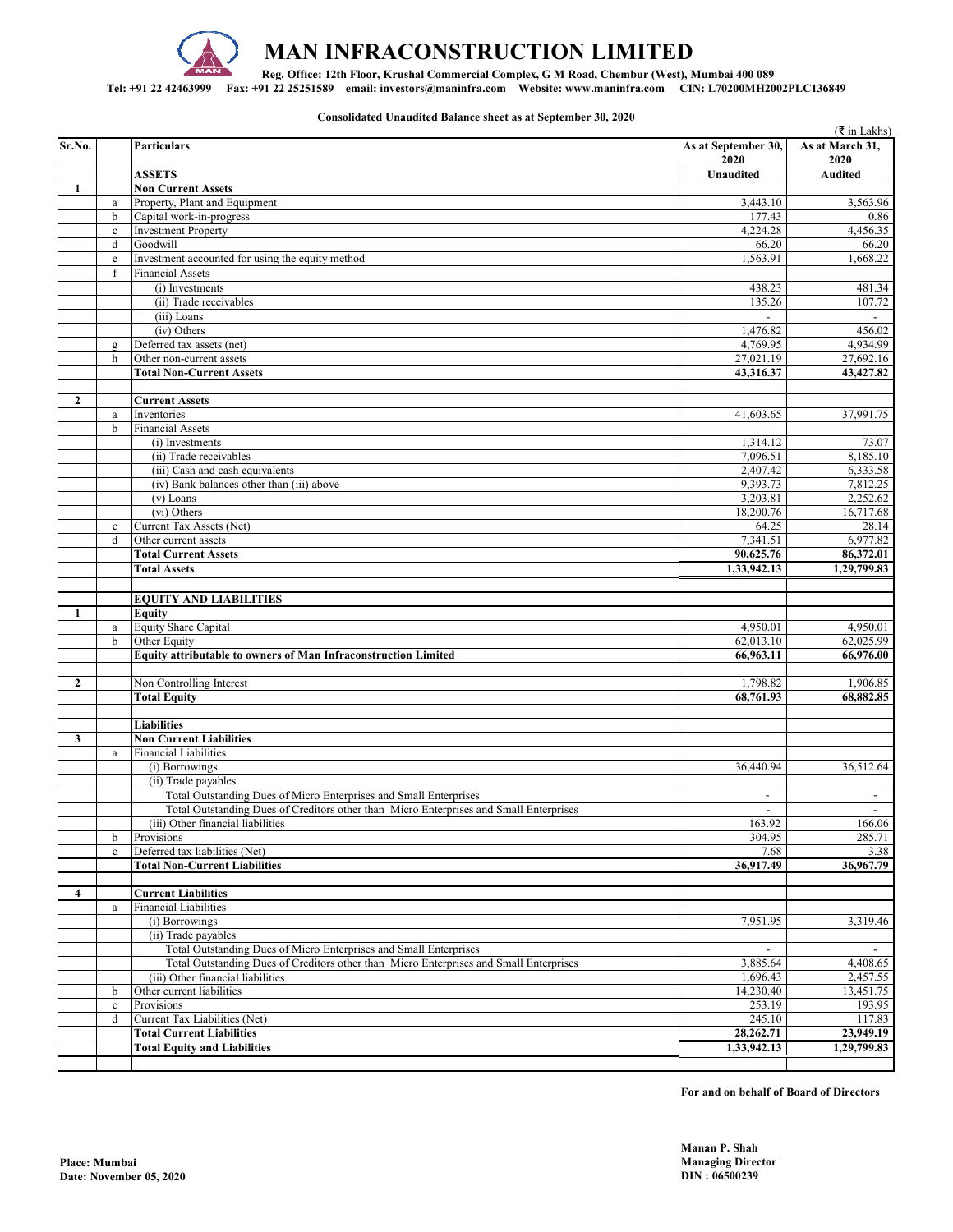

## **MAN INFRACONSTRUCTION LIMITED**

**Reg. Office: 12th Floor, Krushal Commercial Complex, G M Road, Chembur (West), Mumbai 400 089** 

**Tel: +91 22 42463999 Fax: +91 22 25251589 email: investors@maninfra.com Website: www.maninfra.com CIN: L70200MH2002PLC136849**

**Consolidated Unaudited Balance sheet as at September 30, 2020**

|                |                  |                                                                                        |                             | ( ₹ in Lakhs)            |
|----------------|------------------|----------------------------------------------------------------------------------------|-----------------------------|--------------------------|
| Sr.No.         |                  | Particulars                                                                            | As at September 30,<br>2020 | As at March 31,<br>2020  |
|                |                  | <b>ASSETS</b>                                                                          | Unaudited                   | <b>Audited</b>           |
| 1              |                  | <b>Non Current Assets</b>                                                              |                             |                          |
|                | $\rm{a}$         | Property, Plant and Equipment                                                          | 3,443.10                    | 3,563.96                 |
|                | b                | Capital work-in-progress                                                               | 177.43                      | 0.86                     |
|                | $\mathbf c$      | <b>Investment Property</b>                                                             | 4,224.28                    | 4,456.35                 |
|                | d                | Goodwill                                                                               | 66.20                       | 66.20                    |
|                | $\rm e$          | Investment accounted for using the equity method                                       | 1,563.91                    | 1,668.22                 |
|                | f                | <b>Financial Assets</b>                                                                |                             |                          |
|                |                  | (i) Investments<br>(ii) Trade receivables                                              | 438.23<br>135.26            | 481.34<br>107.72         |
|                |                  | (iii) Loans                                                                            |                             |                          |
|                |                  | (iv) Others                                                                            | 1,476.82                    | 456.02                   |
|                | $\mathbf{g}$     | Deferred tax assets (net)                                                              | 4,769.95                    | 4,934.99                 |
|                | h                | Other non-current assets                                                               | 27,021.19                   | 27,692.16                |
|                |                  | <b>Total Non-Current Assets</b>                                                        | 43,316.37                   | 43,427.82                |
|                |                  |                                                                                        |                             |                          |
| $\overline{2}$ |                  | <b>Current Assets</b>                                                                  |                             |                          |
|                | $\mathbf{a}$     | Inventories                                                                            | 41,603.65                   | 37,991.75                |
|                | b                | <b>Financial Assets</b>                                                                |                             |                          |
|                |                  | (i) Investments                                                                        | 1,314.12                    | 73.07                    |
|                |                  | (ii) Trade receivables                                                                 | 7,096.51                    | 8,185.10                 |
|                |                  | (iii) Cash and cash equivalents                                                        | 2,407.42                    | 6,333.58                 |
|                |                  | (iv) Bank balances other than (iii) above                                              | 9,393.73                    | 7,812.25                 |
|                |                  | (v) Loans                                                                              | 3,203.81                    | 2,252.62                 |
|                |                  | (vi) Others                                                                            | 18,200.76<br>64.25          | 16,717.68<br>28.14       |
|                | $\mathbf c$<br>d | Current Tax Assets (Net)<br>Other current assets                                       | 7,341.51                    | 6,977.82                 |
|                |                  | <b>Total Current Assets</b>                                                            | 90,625.76                   | 86,372.01                |
|                |                  | <b>Total Assets</b>                                                                    | 1,33,942.13                 | 1,29,799.83              |
|                |                  |                                                                                        |                             |                          |
|                |                  | <b>EQUITY AND LIABILITIES</b>                                                          |                             |                          |
| 1              |                  | Equity                                                                                 |                             |                          |
|                | $\rm{a}$         | <b>Equity Share Capital</b>                                                            | 4,950.01                    | 4,950.01                 |
|                | b                | Other Equity                                                                           | 62,013.10                   | 62,025.99                |
|                |                  | Equity attributable to owners of Man Infraconstruction Limited                         | 66,963.11                   | 66,976.00                |
|                |                  |                                                                                        |                             |                          |
| $\overline{2}$ |                  | Non Controlling Interest                                                               | 1,798.82                    | 1,906.85                 |
|                |                  | <b>Total Equity</b>                                                                    | 68,761.93                   | 68,882.85                |
|                |                  |                                                                                        |                             |                          |
|                |                  | <b>Liabilities</b>                                                                     |                             |                          |
| 3              |                  | <b>Non Current Liabilities</b>                                                         |                             |                          |
|                | $\rm{a}$         | <b>Financial Liabilities</b>                                                           |                             |                          |
|                |                  | (i) Borrowings<br>(ii) Trade payables                                                  | 36,440.94                   | 36,512.64                |
|                |                  | Total Outstanding Dues of Micro Enterprises and Small Enterprises                      | $\overline{\phantom{a}}$    | $\overline{\phantom{a}}$ |
|                |                  | Total Outstanding Dues of Creditors other than Micro Enterprises and Small Enterprises | $\sim$                      | $\sim$                   |
|                |                  | (iii) Other financial liabilities                                                      | 163.92                      | 166.06                   |
|                | b                | Provisions                                                                             | 304.95                      | 285.71                   |
|                | $\mathbf c$      | Deferred tax liabilities (Net)                                                         | 7.68                        | 3.38                     |
|                |                  | <b>Total Non-Current Liabilities</b>                                                   | 36,917.49                   | 36,967.79                |
|                |                  |                                                                                        |                             |                          |
| 4              |                  | <b>Current Liabilities</b>                                                             |                             |                          |
|                | $\rm{a}$         | <b>Financial Liabilities</b>                                                           |                             |                          |
|                |                  | (i) Borrowings                                                                         | 7,951.95                    | 3,319.46                 |
|                |                  | (ii) Trade payables                                                                    |                             |                          |
|                |                  | Total Outstanding Dues of Micro Enterprises and Small Enterprises                      |                             |                          |
|                |                  | Total Outstanding Dues of Creditors other than Micro Enterprises and Small Enterprises | 3,885.64                    | 4,408.65                 |
|                |                  | (iii) Other financial liabilities                                                      | 1,696.43                    | 2,457.55                 |
|                | b                | Other current liabilities                                                              | 14,230.40                   | 13,451.75                |
|                | $\mathbf c$      | Provisions                                                                             | 253.19                      | 193.95                   |
|                | d                | Current Tax Liabilities (Net)<br><b>Total Current Liabilities</b>                      | 245.10<br>28,262.71         | 117.83<br>23,949.19      |
|                |                  | <b>Total Equity and Liabilities</b>                                                    | 1,33,942.13                 | 1,29,799.83              |
|                |                  |                                                                                        |                             |                          |
|                |                  |                                                                                        |                             |                          |

**For and on behalf of Board of Directors**